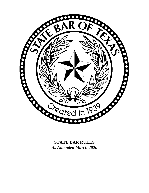

*As Amended March 2020*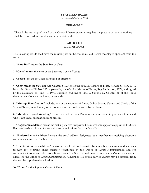### **STATE BAR RULES**

*As Amended March 2020*

#### **PREAMBLE**

These Rules are adopted in aid of the Court's inherent power to regulate the practice of law and nothing shall be construed as a modification or limitation thereof.

## **ARTICLE I DEFINITIONS**

The following words shall have the meaning set out below, unless a different meaning is apparent from the context:

**1. "State Bar"** means the State Bar of Texas.

**2. "Clerk"** means the clerk of the Supreme Court of Texas.

**3. "Board"** means the State Bar board of directors.

**4. "Act"** means the State Bar Act, Chapter 510, Acts of the 66th Legislature of Texas, Regular Session, 1979, being also Senate Bill No. 287 as passed by the 66th Legislature of Texas, Regular Session, 1979, and signed by the Governor on June 11, 1979, currently codified at Title 2, Subtitle G. Chapter 81 of the Texas Government Code and as it may be amended.

**5. "Metropolitan County"** includes any of the counties of Bexar, Dallas, Harris, Tarrant and Travis of the State of Texas, as well as any other county hereafter so designated by the board.

**6. "Member in good standing"** is a member of the State Bar who is not in default in payment of dues and who is not under suspension from practice.

**7. "Registered address"** means the mailing address designated by a member to appear to appear on the State Bar membership rolls and for receiving communications from the State Bar.

**8. "Preferred email address"** means the email address designated by a member for receiving electronic communications from the State Bar.

**9. "Electronic service address"** means the email address designated by a member for service of documents through the electronic filing manager established by the Office of Court Administration and for communications to a member from Texas courts. The State Bar will provide each member's electronic service address to the Office of Court Administration. A member's electronic service address may be different from the member's preferred email address.

**10. "Court"** is the Supreme Court of Texas.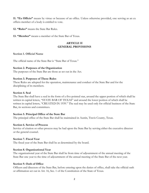**11. "Ex Officio"** means by virtue or because of an office. Unless otherwise provided, one serving as an ex officio member of a body is entitled to vote.

**12. "Rules"** means the State Bar Rules.

**13. "Member"** means a member of the State Bar of Texas.

## **ARTICLE II GENERAL PROVISIONS**

### **Section 1. Official Name**

The official name of the State Bar is "State Bar of Texas."

#### **Section 2. Purposes of the Organization**

The purposes of the State Bar are those as set out in the Act.

#### **Section 3. Purposes of These Rules**

These Rules are adopted for the operation, maintenance and conduct of the State Bar and for the disciplining of its members.

#### **Section 4. Seal**

The State Bar shall have a seal in the form of a five-pointed star, around the upper portion of which shall be written in capital letters, "STATE BAR OF TEXAS" and around the lower portion of which shall be written in capital letters, "CREATED IN 1939." The seal may be used only for official business of the State Bar, its sections and committees.

### **Section 5. Principal Office of the State Bar**

The principal office of the State Bar shall be maintained in Austin, Travis County, Texas.

#### **Section 6. Service of Process**

Service of citation or other process may be had upon the State Bar by serving either the executive director or the general counsel.

#### **Section 7. Fiscal Year**

The fiscal year of the State Bar shall be as determined by the board.

#### **Section 8. Organizational Year**

The organizational year of the State Bar shall be from time of adjournment of the annual meeting of the State Bar one year to the time of adjournment of the annual meeting of the State Bar of the next year.

#### **Section 9. Oath of Office**

Officers and directors of the State Bar, before entering upon the duties of office, shall take the official oath or affirmation set out in Art. 16, Sec. 1 of the Constitution of the State of Texas.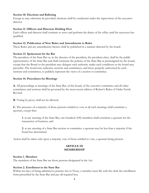### **Section 10. Elections and Balloting**

Except as may otherwise be provided, elections shall be conducted under the supervision of the executive director.

#### **Section 11. Officers and Directors Holding Over**

Each officer and director shall continue to serve and perform the duties of his office until his successor has qualified.

#### **Section 12. Publication of New Rules and Amendments to Rules**

These Rules and any amendments thereto shall be published in a manner directed by the board.

### **Section 13. Spokesman for the Bar**

The president of the State Bar or, in the absence of the president, the president-elect, shall be the public representative of the State Bar and shall enunciate the policies of the State Bar as promulgated by the board, except that the Board or the president may delegate such authority under such conditions as the board may prescribe. The board may authorize sections and committees, and those properly authorized by such sections and committees, to publicly represent the views of a section or committee.

#### **Section 14. Procedures for Meetings**

**A.** All proceedings at meetings of the State Bar, of the board, of the executive committee and all other committees and sections shall be governed by the most recent edition of Robert's Rules of Order Newly Revised.

**B.** Voting by proxy shall not be allowed.

**C.** The presence of a majority of those persons entitled to vote at all such meetings shall constitute a quorum, except that:

**1.** at any meeting of the State Bar, one hundred (100) members shall constitute a quorum for the transaction of business, and

**2.** at any meeting of a State Bar section or committee, a quorum may be less than a majority if the board has determined.

Action shall be taken only upon a majority vote of those entitled to vote, a quorum being present.

## **ARTICLE III MEMBERSHIP**

#### **Section 1. Members**

The members of the State Bar are those persons designated in the Act.

### **Section 2. Enrollment in the State Bar**

Within ten days of being admitted to practice law in Texas, a member must file with the clerk the enrollment form prescribed by the State Bar and pay all required fees.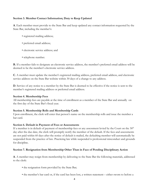## **Section 3. Member Contact Information; Duty to Keep Updated**

**A**. Each member must provide to the State Bar and keep updated any contact information requested by the State Bar, including the member's:

- registered mailing address;
- preferred email address;
- electronic service address; and
- telephone number.

**B.** If a member fails to designate an electronic service address, the member's preferred email address will be deemed to be the member's electronic service address.

**C**. A member must update the member's registered mailing address, preferred email address, and electronic service address on the State Bar website within 30 days of a change to any address.

**D**. Service of any notice to a member by the State Bar is deemed to be effective if the notice is sent to the member's registered mailing address or preferred email address.

### **Section 4. Membership Fees**

All membership fees are payable at the time of enrollment as a member of the State Bar and annually on the first day of the State Bar's fiscal year.

## **Section 5. Membership Rolls and Membership Cards**

Upon enrollment, the clerk will enter that person's name on the membership rolls and issue the member a bar card.

### **Section 6. Default in Payment of Fees or Assessments**

If a member is in default of payment of membership fees or any assessment levied by the Court on the  $30<sup>th</sup>$ day after the due date, the clerk will promptly notify the member of the default. If the fees and assessments are not paid within 60 days after the notice of default is mailed, the defaulting member will automatically be suspended from the practice of law. Practicing law while suspended is professional misconduct and grounds for discipline.

## **Section 7. Resignation from Membership Other Than in Face of Pending Disciplinary Action**

**A**. A member may resign from membership by delivering to the State Bar the following materials, addressed to the clerk:

- the resignation form provided by the State Bar;
- the member's bar card or, if the card has been lost, a written statement either sworn to before a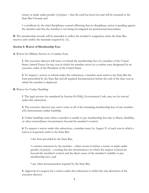notary or made under penalty of perjury – that the card has been lost and will be returned to the State Bar if found; and

• a certificate by the chief disciplinary counsel affirming that no disciplinary action is pending against the member and that the member is not being investigated for professional misconduct.

**B**. The membership records will be amended to reflect the member's resignation when the State Bar receives and verifies the materials required by (A).

### **Section 8. Waiver of Membership Fees**

**A**. Waiver for Military Service in a Combat Zone

**1.** The executive director will waive or refund the membership fees of a member of the United States Armed Forces for any year in which the member serves in a combat zone designated by an executive order of the President of the United States.

**2.** To request a waiver or refund under this subsection, a member must remit to the State Bar the form prescribed by the State Bar and all required documentation before the end of the dues year in which the member is deployed.

**B**. Waiver for Undue Hardship

**1**. The legal services fee mandated by Section 81.054(j), Government Code, may not be waived under this subsection.

**2.** The executive director may waive some or all of the remaining membership fees of any member who demonstrates undue hardship.

**3.** Undue hardship exists when a member is unable to pay membership fees due to illness, disability, or other extraordinary circumstances beyond the member's control.

**4.** To request a waiver under this subsection, a member must, by August 31 of each year in which a waiver is requested, remit to the State Bar:

• the form provided by the State Bar;

• a written statement by the member – either sworn to before a notary or made under penalty of perjury – averring that the circumstances on which the request is based are beyond the member's control and the direct cause of the member's inability to pay membership fees.; and

• any other documentation required by the State Bar.

**5.** Approval of a request for a waiver under this subsection is within the sole discretion of the executive director.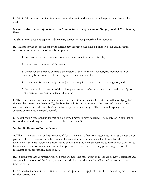**C.** Within 30 days after a waiver is granted under this section, the State Bar will report the waiver to the clerk.

# **Section 9. One-Time Expunction of an Administrative Suspension for Nonpayment of Membership Fees**

**A.** This section does not apply to a disciplinary suspension for professional misconduct.

**B.** A member who meets the following criteria may request a one-time expunction of an administrative suspension for nonpayment of membership fees:

**1.** the member has not previously obtained an expunction under this rule;

**2.** the suspension was for 90 days or less;

**3.** except for the suspension that is the subject of the expunction request, the member has not previously been suspended for nonpayment of membership fees;

**4.** the member is not currently the subject of a disciplinary proceeding or investigation; and

**5**. the member has no record of disciplinary suspension – whether active or probated – or of prior disbarment or resignation in lieu of discipline.

**C**. The member seeking the expunction must make a written request to the State Bar. After verifying that the member meets the criteria in (B), the State Bar will forward to the clerk the member's request and a recommendation that the member's record of suspension be expunged. The clerk will expunge the suspension from the member's record.

**D.** A suspension expunged under this rule is deemed never to have occurred. The record of an expunction is confidential and may not be disclosed by the clerk or the State Bar.

## **Section 10. Return to Former Status**

**A**. When a member who has been suspended for nonpayment of fees or assessments removes the default by payment of fees or assessments then owing plus an additional amount equivalent to one-half the delinquency, the suspension will automatically be lifted and the member restored to former status. Return to former status is retroactive to inception of suspension, but does not affect any proceeding for discipline of the member for professional misconduct.

**B**. A person who has voluntarily resigned from membership must apply to the Board of Law Examiners and comply with the rules of the Court pertaining to admission to the practice of law before resuming the practice of law.

**C**. An inactive member may return to active status upon written application to the clerk and payment of fees for the current year.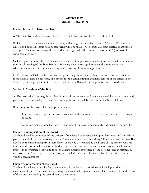# **ARTICLE IV ADMINISTRATION**

## **Section 1. Board of Directors; Duties**

**A**. The State Bar shall be governed by a board which shall enforce the Act and these Rules.

**B.** The term of office for each elected, public, and at-large director shall be three (3) years. The terms of elected and public directors shall be staggered with one-third (1/3) of such directors elected or appointed each year. The terms of at-large directors shall be staggered with as near to one-third  $(1/3)$  as possible appointed each year.

**C.** The regular term of office of an elected, public, or at-large director shall commence on adjournment of the annual meeting of the State Bar next following election or appointment and continue until the adjournment of the third annual meeting next following election or appointment.

**D**. The board shall take such action and adopt such regulations and policies, consistent with the Act or these Rules, as shall be necessary and proper for the administration and management of the affairs of the State Bar, for the protection of the property of the State Bar and for the preservation of good order.

## **Section 2. Meetings of the Board**

A. The board shall meet regularly at least four (4) times annually, and may meet specially, at such times and places as the board shall determine. All meetings, however, shall be held within the State of Texas.

B. Meetings of the board shall be in person unless:

1. an emergency or public necessity exists within the meaning of Texas Government Code Chapter 551; and

2. the convening at one location of a quorum of the governmental body is difficult or impossible.

## **Section 3. Composition of the Board**

The board shall be composed of the officers of the State Bar, the president, president-elect, and immediate past president of the Texas Young Lawyers Association, not more than thirty (30) members of the State Bar elected by the membership from their district as may be determined by the board, six (6) persons who are not licensed attorneys, known as public directors, who do not have, other than as consumers, a financial interest in the practice of law, and four (4) at-large directors appointed by the president and confirmed by the Board The Board may, in its discretion, also include other members who shall be ex officio or nonvoting board members.

## **Section 4. Chairperson of the Board**

The board shall elect annually from its membership, under such procedures as it shall prescribe, a chairperson to serve for the next succeeding organizational year. Such person shall be elected from the class of directors then serving the second year of their terms.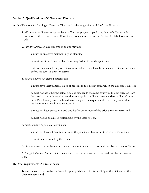#### **Section 5. Qualifications of Officers and Directors**

**A.** Qualifications for Serving as Director. The board is the judge of a candidate's qualifications.

**1.** *All directors.* A director must not be an officer, employee, or paid consultant of a Texas trade association or the spouse of one. Texas trade association is defined in Section 81.028, Government Code.

**2.** *Attorney directors.* A director who is an attorney also:

a. must be an active member in good standing;

b. must never have been disbarred or resigned in lieu of discipline; and

c. if ever suspended for professional misconduct, must have been reinstated at least ten years before the term as director begins.

**3.** *Elected directors.* An elected director also:

a. must have their principal place of practice in the district from which the director is elected;

b. must not have their principal place of practice in the same county as the last director from the district – but this requirement does not apply to a director from a Metropolitan County or El Paso County, and the board may disregard the requirement if necessary to rebalance the board membership under section 8;

- c. must not have served one and one-half years or more of the prior director's term; and
- d. must not be an elected official paid by the State of Texas.
- **4.** *Public directors.* A public director also:

a. must not have a financial interest in the practice of law, other than as a consumer; and

b. must be confirmed by the senate.

**5.** *At-large directors.* An at-large director also must not be an elected official paid by the State of Texas.

**6.** *Ex officio directors.* An ex officio director also must not be an elected official paid by the State of Texas.

**B.** Other requirements. A director must:

**1.** take the oath of office by the second regularly scheduled board meeting of the first year of the director's term; and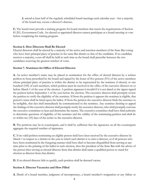**2.** attend at least half of the regularly scheduled board meetings each calendar year – but a majority of the board may excuse a director's absence.

**C.** The board must provide a training program for board members that meets the requirements of Section 81.201, Government Code. An elected or appointed director cannot participate at a board meeting or vote before completing the training program.

#### **Section 6. How Directors Shall Be Elected**

Elected directors shall be elected by a majority of the active and emeritus members of the State Bar voting who have their principal place of practice in the same Bar district as that of the candidate. If no candidate receives a majority, a run off shall be held at such time as the board shall prescribe between the two candidates receiving the greatest number of votes.

#### **Section 7. Nominees for Office of Elected Director**

**A**. An active member's name may be placed in nomination for the office of elected director by a written petition in form prescribed by the board and signed by the lesser of five percent (5%) of the active members whose principal place of practice is within the district to be represented by the nominee if elected, or one hundred (100) of such members, which petition must be received in the office of the executive director on or before March 1 of the year of the election. A petition signature is invalid if it is not dated or the signer signed the petition before September 1 of the year before the election. The executive director shall promptly review the petition to verify the eligibility of the nominee. If from the petition it appears the nominee is eligible, that person's name shall be listed upon the ballot. If from the petition the executive director finds the nominee to be ineligible, that fact shall immediately be communicated to the nominee. Any nominee desiring to appeal the findings of the executive director shall promptly notify the executive director, who shall promptly convene the executive committee to hear and determine the matter. The executive committee shall have final authority to determine questions of eligibility of the nominee and the validity of the nominating petition and shall do so within ten (10) days of the notice to the executive director.

**B**. The petitions may be in counterparts, and it shall be sufficient that the signatures on all the counterparts aggregate the required number of signatures.

**C**. If no valid petition nominating an eligible person shall have been received by the executive director by March 1 in respect to a district in the year in which such district is to elect a director, or if all persons who have been nominated in the foregoing manner shall have died or become disqualified from serving at any time prior to the printing of the ballot in such election, then the president of the State Bar with the advice of the person then serving as elected director from that district shall name a qualified person to stand for election as director from that district.

**D**. If an elected director fails to qualify, such position shall be deemed vacant.

### **Section 8. Director Vacancies and How Filled**

**A**. Death of a board member, judgment of incompetency, a board member's resignation or any failure to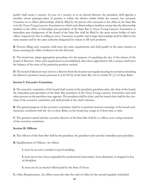qualify shall create a vacancy. In case of a vacancy as to an elected director, the president, shall appoint a member whose principal place of practice is within the district within which the vacancy has occurred. Vacancies in ex officio directorships shall be filled by the person who succeeds to the office in the State Bar or in the Texas Young Lawyers Association to which such directorship is incident, except that the directorship incident to the office of immediate past president of the State Bar or Texas Young Lawyers Association or immediate past chairperson of the board of the State Bar shall be filled by the most recent holder of such offices respectively who is willing to serve. Vacancies in public and at-large directorships shall be filled in the same manner and by the same authority designated by statute to fill such positions.

**B**. Persons filling such vacancies shall meet the same requirements and shall qualify in the same manner as those assuming the office of director for the full term.

**C**. The board may adopt appropriate procedures for the purpose of equalizing the size of the classes of the board of directors. Once such equalization is accomplished, then those appointed to fill a vacancy shall serve the balance of the term of the particular position vacated.

**D**. The board of directors may remove a director from the board at any regular meeting by resolution declaring the director's position vacant, pursuant to  $\frac{81.027}{a}$  of the State Bar Act or Article IV,  $\frac{5}{9}$  of these Rules.

## **Section 9. Executive Committee**

**A**. The executive committee of the board shall consist of the president, president-elect, the chair of the board, the immediate past president of the State Bar, president of the Texas Young Lawyers Association and such other persons as the president may appoint. The president shall be chair, and the board chair shall be the vicechair of the executive committee and shall preside in the chair's absence.

**B**. The general purpose of the executive committee shall be to perform between meetings of the board such functions, consistent with the Act or these Rules, as the board may assign to it from time to time.

**C**. The general counsel and the executive director of the State Bar shall be ex officio, non-voting members of the executive committee.

## **Section 10. Officers**

**A**. The officers of the State Bar shall be the president, the president-elect and the immediate past president.

- **B.** Qualifications of Officers. An officer:
	- **1.** must be an active member in good standing;

**2**. must never have been suspended for professional misconduct, been disbarred, or resigned in lieu of discipline;

- **3.** must not be an elected official paid by the State of Texas.
- **C.** Other Requirements. An officer must also take the oath of office by the second regularly scheduled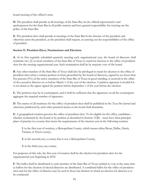board meeting of the officer's term.

**D**. The president shall preside at all meetings of the State Bar, be the official representative and spokesperson for the State Bar in all public matters and have general responsibility for carrying out the policy of the State Bar.

**E**. The president-elect shall preside at meetings of the State Bar in the absence of the president and otherwise assist the president, as the president shall request, in carrying out the responsibilities of the office of president.

# **Section 11. President-Elect, Nominations and Elections**

**A**. At its first regularly scheduled quarterly meeting each organizational year, the board of directors shall nominate two (2) or more members of the State Bar of Texas to stand for election to the office of presidentelect for the ensuing organizational year. Such nomination shall be by majority vote of the board.

**B**. Any other member of the State Bar of Texas shall also be privileged to stand for election to the office of president-elect when a written petition in form prescribed by the board of directors, signed by no fewer than five percent (5%) of the active members of the State Bar of Texas in good standing, is received in the office of the executive director on or before March 1 of the year of the election. A petition signature is invalid if it is not dated or the signer signed the petition before September 1 of the year before the election.

**C.** The petitions may be in counterparts, and it shall be sufficient that the signatures on all the counterparts aggregate the required number of signatures.

**D**. The names of all nominees for the office of president-elect shall be published in the *Texas Bar Journal* and otherwise publicized by such other practical means as the board shall determine.

**E**. A geographical rotation governs the office of president-elect. To be eligible for the office, candidates – whether nominated by the board or by petition as described in Section 11(B) – must have their principal place of practice in a county that meets the requirements of the election year in the following rotation:

**1**. in the first year of rotation, a Metropolitan County, which means either Bexar, Dallas, Harris, Tarrant, or Travis county;

**2**. in the second year, a county that is not a Metropolitan County;

**3**. in the third year, any county.

For purposes of this rule, the first year of rotation shall be the election for president-elect for the organizational year beginning in 2018.

**F**. The ballot shall be distributed to each member of the State Bar of Texas entitled to vote at the same time as ballots for the election of elected directors are distributed. A combined ballot for the office of presidentelect and for the office of director may be used in those bar districts in which an election for director is to be conducted.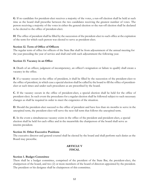**G**. If no candidate for president-elect receives a majority of the votes, a run-off election shall be held at such time as the board shall prescribe between the two candidates receiving the greatest number of votes. The person receiving a majority of the votes in either the general election or the run-off election shall be declared to be elected to the office of president-elect.

**H**. The office of president shall be filled by the succession of the president-elect to such office at the expiration of the term for which such person was elected to serve as president-elect.

## **Section 12. Term of Office of Officers**

The regular term of office for officers of the State Bar shall be from adjournment of the annual meeting for the year preceding the year of service and shall end with such adjournment the following year.

## **Section 13. Vacancy in an Office**

**A**. Death of an officer, judgment of incompetency, an officer's resignation or failure to qualify shall create a vacancy in the office.

**B**. If a vacancy occurs in the office of president, it shall be filled by the succession of the president-elect to the office of president, in which case a special election shall be called by the board to fill the office of presidentelect at such times and under such procedures as are prescribed by the board.

**C**. If the vacancy occurs in the office of president-elect, a special election shall be held for the office of president-elect. In such event the procedures for a regular election shall be followed subject to such necessary changes as shall be required in order to meet the exigencies of the situation.

**D**. Should the president-elect succeed to the office of president and have less than six months to serve in the unexpired term, the president-elect will serve the next full term that follows the unexpired term.

**E**. In the event a simultaneous vacancy exists in the office of the president and president-elect, a special election shall be held for each office and in the meanwhile the chairperson of the board shall serve as interim president.

## **Section 14. Other Executive Positions**

The executive director and general counsel shall be elected by the board and shall perform such duties as the Board may prescribe.

## **ARTICLE V FISCAL**

### **Section 1. Budget Committee**

There shall be a budget committee, comprised of the president of the State Bar, the president-elect, the chairperson of the board, and two (2) or more members of the board of directors appointed by the president. The president or his designee shall be chairperson of this committee.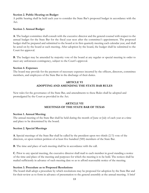### **Section 2. Public Hearing on Budget**

A public hearing shall be held each year to consider the State Bar's proposed budget in accordance with the Act.

## **Section 3. Annual Budget**

**A**. The budget committee shall consult with the executive director and the general counsel with respect to the annual budget for the State Bar for the fiscal year next after the committee's appointment. The proposed budget shall be prepared and submitted to the board at its first quarterly meeting each calendar year, and shall be acted on by the board at such meeting. After adoption by the board, the budget shall be submitted to the Court for approval.

**B**. The budget may be amended by majority vote of the board at any regular or special meeting in order to meet any unforeseen contingency, subject to the Court's approval.

### **Section 4. Expenses**

The board may provide for the payment of necessary expenses incurred by the officers, directors, committee members, and employees of the State Bar in the discharge of their duties.

## **ARTICLE VI ADOPTING AND AMENDING THE STATE BAR RULES**

New rules for the governance of the State Bar, and amendments to these Rules shall be adopted and promulgated by the Court as provided in the Act.

# **ARTICLE VII MEETINGS OF THE STATE BAR OF TEXAS**

### **Section 1. Annual Meeting**

The annual meeting of the State Bar shall be held during the month of June or July of each year at a time and place to be determined by the board.

### **Section 2. Special Meetings**

**A**. Special meetings of the State Bar shall be called by the president upon two thirds (2/3) vote of the directors, or upon written petition of at least five hundred (500) members of the State Bar.

**B**. The time and place of such meeting shall be in accordance with the call.

**C**. Prior to any special meeting, the executive director shall mail to each member in good standing a notice of the time and place of the meeting and purposes for which the meeting is to be held. The notices shall be mailed sufficiently in advance of such meeting date so as to afford reasonable notice of the meeting.

### **Section 3. Procedure as to Proposed Resolutions**

The board shall adopt a procedure by which resolutions may be proposed for adoption by the State Bar and for their review as to form in advance of presentation to the general assembly at the annual meeting. A brief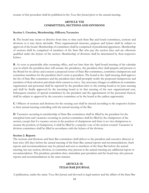resume of this procedure shall be published in the *Texas Bar Journal* prior to the annual meeting.

## **ARTICLE VIII COMMITTEES, SECTIONS AND DIVISIONS**

#### **Section 1. Creation, Membership, Officers; Vacancies**

**A**. The board may create or dissolve from time to time such State Bar and board committees, sections and divisions as it may deem advisable. Their organizational structure, purpose and bylaws shall be subject to approval of the board. Membership of committees shall be comprised of presidential appointees. Membership of sections shall be comprised of members of the State Bar who pay the section dues and are otherwise qualified under the bylaws of the section. Membership of divisions shall be determined by their respective bylaws.

**B**. As soon as practicable after assuming office, and not later than the April board meeting of the calendar year in which the president-elect will assume the presidency, the president-elect shall prepare and present to the Board for its advice and consent a proposed roster of State Bar committees, committee chairpersons and committee members for the president-elect's term as president. The board at the April meeting shall approve the list of State Bar committees and the president-elect shall promptly notify the proposed chairpersons and members of their selection and obtain their consent to serve. Any necessary changes or additions in committee organization and personnel shall be reported by the president-elect to the retiring board at its June meeting and shall be finally approved by the incoming board at its first meeting of the new organizational year. Subsequent creation of special committees by the president and the appointment of the personnel thereof, shall be subject to approval by the executive committee or by the board at the earliest opportunity.

**C**. Officers of sections and divisions for the ensuing year shall be elected according to the respective bylaws at their annual meeting coinciding with the annual meeting of the Bar.

**D**. Vacancies occurring in membership of State Bar committees shall be filled by the president for the unexpired term and vacancies occurring in section committees shall be filled by the chairperson of the section, except that if a vacancy occurs in the position of chairperson and there is no vice-chairperson to assume the position of chairperson, it shall be filled by a majority vote of the section council. Vacancies in division committees shall be filled in accordance with the bylaws of the division.

### **Section 2. Reports**

The sections and divisions and State Bar committees shall deliver to the president and executive director at least sixty (60) days before the annual meeting of the State Bar, annual reports and recommendations. Such reports and recommendations may be printed and sent to members of the State Bar before the annual meeting, but any section, division, or committee may present at the annual meeting any additional report or recommendation. The president, president-elect, immediate past president and the board may also present reports and recommendations in the same manner.

## **ARTICLE IX TEXAS BAR JOURNAL**

A publication, under the name *Texas Bar Journal,* and devoted to legal matters and the affairs of the State Bar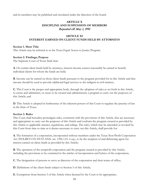and its members may be published and circulated under the direction of the board.

# **ARTICLE X DISCIPLINE AND SUSPENSION OF MEMBERS** Repealed eff. May 1, 1992

# **ARTICLE XI INTEREST EARNED ON CLIENT FUNDS HELD BY ATTORNEYS**

#### **Section 1. Short Title**

This Article may be referred to as the Texas Equal Access to Justice Program.

#### **Section 2. Findings; Purpose**

The Supreme Court of Texas finds that:

**A**. On certain client funds held by attorneys, interest income cannot reasonably be earned to benefit individual clients for whom the funds are held;

**B**. Income can be earned on those client funds pursuant to the program provided for in this Article and that income should be used to provide additional legal services to the indigent in civil matters;

**C**. This Court is the proper and appropriate body, through the adoption of rules as set forth in this Article, to create and administer, or cause to be created and administered, a program to carry out the purposes of this Article; and

**D**. This Article is adopted in furtherance of the inherent powers of this Court to regulate the practice of law in the State of Texas.

#### **Section 3. Rules**

This Court shall hereafter promulgate rules, consistent with the provisions of this Article, that are necessary and appropriate to carry out the purposes of this Article and conform the program created as provided by this Article to applicable statutes, regulations, and rulings. The rules, which may be amended or revoked by this Court from time to time as it deems necessary to carry out this Article, shall provide for:

**A**. The formation of a corporation, incorporated without members under the Texas Non-Profit Corporation Act (TEX.REV.CIV.STAT.ANN. art. 1396-1.01 *et seq.*), to be the recipient of and disbursing agent for interest earned on client funds as provided by this Article;

**B**. The operation of the nonprofit corporation and the program created as provided by this Article, including the provisions to be contained in the articles of incorporation and bylaws of the corporation;

**C**. The designation of persons to serve as directors of the corporation and their terms of office;

**D**. Definitions of the client funds subject to Section 5 of this Article;

**E**. Exemptions from Section 5 of this Article when deemed by the Court to be appropriate;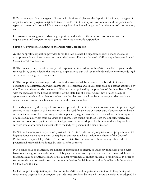**F**. Provisions specifying the types of financial institutions eligible for the deposit of the funds, the types of organizations and programs eligible to receive funds from the nonprofit corporation, and the persons and types of matters and cases eligible to receive legal services funded by grants from the nonprofit corporation; and

**G**. Provisions relating to recordkeeping, reporting, and audits of the nonprofit corporation and the organizations and programs receiving funds from the nonprofit corporation.

# **Section 4. Provisions Relating to the Nonprofit Corporation**

**A**. The nonprofit corporation provided for in this Article shall be organized in such a manner as to be exempt from federal income taxation under the Internal Revenue Code of 19541 or any subsequent United States internal revenue law.

**B**. The exclusive purpose of the nonprofit corporation provided for in this Article shall be to grant funds received by it, as provided in this Article, to organizations that will use the funds exclusively to provide legal services to the indigent in civil matters.

**C**. The nonprofit corporation provided for in this Article shall be governed by a board of directors consisting of a chairman and twelve members. The chairman and six directors shall be persons appointed by this Court and the other six directors shall be persons appointed by the president of the State Bar of Texas, with the approval of the board of directors of the State Bar of Texas. At least two of each group of appointees to the board of directors, other than the chairman, shall not be attorneys, and shall not have, other than as consumers, a financial interest in the practice of law.

**D**. Funds granted by the nonprofit corporation provided for in this Article to organizations to provide legal services to the indigent in civil matters may not be used for any case or matter that, if undertaken on behalf of an indigent person by an attorney in private practice, might reasonably be expected to result in payment of a fee for legal services from an award to a client, from public funds, or from the opposing party. This subsection does not apply if it is determined, pursuant to rules adopted by this Court, that adequate legal services would otherwise be unavailable to the indigent person in the case or matter.

**E**. Neither the nonprofit corporation provided for in this Article nor any organization or program to which it grants funds may take an action or require an attorney to take an action in violation of the Code of Professional Responsibility (Article X, Section 9, State Bar Rules) or in violation of any other code of professional responsibility adopted by this state for attorneys.

**F**. No funds shall be granted by the nonprofit corporation to directly or indirectly fund class action suits, lawsuits against governmental entities, or lobbying for or against any candidate or issue. Provided, however, that funds may be granted to finance suits against governmental entities on behalf of individuals in order to secure entitlement to benefits such as, but not limited to, Social Security, Aid to Families with Dependent Children, and the like.

**G**. The nonprofit corporation provided for in this Article shall require, as a condition to the granting of funds to any organization or program, that adequate provision be made, in accordance with rules adopted by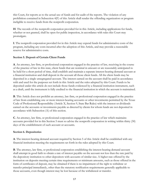this Court, for reports as to the actual use of funds and for audit of the reports. The violation of any prohibition contained in Subsection 4(F) of this Article shall render the offending organization or program ineligible to receive funds from the nonprofit corporation.

**H**. The records of the nonprofit corporation provided for in this Article, including applications for funds, whether or not granted, shall be open for public inspection, in accordance with rules this Court may promulgate.

**I**. The nonprofit corporation provided for in this Article may expend funds for administrative costs of the program, including any costs incurred after the adoption of this Article, and may provide a reasonable reserve for administrative costs.

## **Section 5. Deposit of Certain Client Funds**

**A**. An attorney, law firm, or professional corporation engaged in the practice of law, receiving in the course of the practice of law in this state, client funds that are nominal in amount or are reasonably anticipated to be held for a short period of time, shall establish and maintain a separate interest-bearing demand account at a financial institution and shall deposit in the account all those client funds. All the client funds may be deposited in a single unsegregated account. The interest earned on the account shall be paid in accordance with and used for the purposes set forth in this Article and the rules adopted by this Court. Funds to be deposited under this article do not include those funds evidenced by a financial institution instrument, such as a draft, until the instrument is fully credited to the financial institution in which the account is maintained.

**B**. This Article does not prohibit an attorney, law firm, or professional corporation engaged in the practice of law from establishing one or more interest-bearing accounts or other investments permitted by the Texas Code of Professional Responsibility (Article X, Section 9, State Bar Rules) with the interest or dividends earned on the accounts or investments payable as directed by clients for whom funds are not deposited in accordance with Subsection (A) of this section.

**C**. An attorney, law firm, or professional corporation engaged in the practice of law which maintains accounts provided for in this Section 5 must so advise the nonprofit corporation in writing within thirty (30) days of the establishment of such account or accounts.

## **Section 6. Depositories**

**A**. The interest-bearing demand account required by Section 5 of this Article shall be established with any financial institution meeting the requirements set forth in the rules adopted by this Court.

**B**. The attorney, law firm, or professional corporation establishing the interest-bearing demand account shall attempt in good faith to obtain a rate of interest payable on the account not less than the rate paid by the depository institution to other depositors with accounts of similar size. A higher rate offered by the institution on deposits meeting certain time requirements or minimum amounts, such as those offered in the form of certificates of deposit, may be obtained if there is no impairment of the right to withdraw or transfer principal immediately, other than the statutory notification requirements generally applicable to those accounts, even though interest may be lost because of the withdrawal or transfer.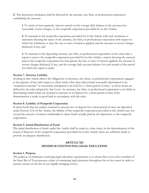**C**. The depository institution shall be directed by the attorney, law firm, or professional corporation establishing the account:

**1**. To remit, at least quarterly, interest earned on the average daily balance in the account, less reasonable service charges, to the nonprofit corporation provided for in this Article;

**2**. To transmit to the nonprofit corporation provided for in this Article with each remittance a statement showing the name of the attorney, law firm, or professional corporation with respect to which the remittance is sent, the rate or rates of interest applied, and the amount of service charges deducted, if any; and

**3**. To transmit to the depositing attorney, law firm, or professional corporation at the same time a report is sent to the nonprofit corporation provided for in this Article, a report showing the amount paid to the nonprofit corporation for that period, the rate or rates of interest applied, the amount of service charges deducted, if any, and the average daily account balance for each month of the period for which the report is made.

## **Section 7. Attorney Liability**

Nothing in this Article affects the obligations of attorneys, law firms, or professional corporations engaged in the practice of law with respect to client funds other than client funds reasonably determined to be "nominal in amount" or reasonably anticipated to be held for a "short period of time," as those terms are defined by the rules adopted by this Court. An attorney, law firm, or professional corporation is not liable in determining which funds are nominal in amount or on deposit for a short period of time if the determination is made in good faith in accordance with the rules.

### **Section 8. Liability of Nonprofit Corporation**

If client funds that are neither nominal in amount nor on deposit for a short period of time are deposited under Section 5(A) of this Article, the liability of the nonprofit corporation provided in this Article may not exceed the amount of interest attributable to client funds actually paid by the depository to the nonprofit corporation.

### **Section 9. Initial Distribution of Fund**

The initial distribution of funds under this Article shall be made at a time when, in the determination of the board of directors of the nonprofit corporation provided for in this Article, there are sufficient funds to provide an adequate distribution.

## **ARTICLE XII MINIMUM CONTINUING LEGAL EDUCATION**

### **Section 1. Purpose**

The purpose of minimum continuing legal education requirements is to ensure that every active member of the State Bar of Texas pursues a plan of continuing legal education throughout his or her career in order to remain current on the law in our rapidly changing society.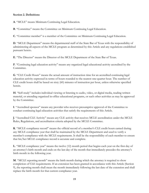## **Section 2. Definitions**

**A**. "MCLE" means Minimum Continuing Legal Education.

**B**. "Committee" means the Committee on Minimum Continuing Legal Education.

**C**. "Committee member" is a member of the Committee on Minimum Continuing Legal Education.

**D**. "MCLE Department" means the departmental staff of the State Bar of Texas with the responsibility of administering all aspects of the MCLE program as determined by this Article and any regulations established pursuant hereto.

**E**. "The Director" means the Director of the MCLE Department of the State Bar of Texas.

**F**. "Continuing legal education activity" means any organized legal educational activity accredited by the Committee.

**G**. "CLE Credit Hours" means the actual amount of instruction time for an accredited continuing legal education activity expressed in terms of hours rounded to the nearest one-quarter hour. The number of CLE credit hours shall be based on sixty (60) minutes of instruction per hour, unless otherwise specified herein.

**H**. "Self-study" includes individual viewing or listening to audio, video, or digital media, reading written material, or attending organized in-office educational programs, or such other activities as may be approved by the Committee.

**I**. "Accredited sponsor" means any provider who receives presumptive approval of the Committee to conduct continuing legal education activities that satisfy the requirements of this Article.

**J**. "Accredited CLE Activity" means any CLE activity that receives MCLE accreditation under the MCLE Rules, Regulations, and accreditation criteria adopted by the MCLE Committee.

**K**. "MCLE compliance record" means the official record of a member's CLE credit hours earned during any MCLE compliance year that shall be maintained by the MCLE Department and used to verify a member's compliance with the MCLE requirements. It shall be the responsibility of each member to ensure that his/her MCLE compliance record is accurate and complete.

**L**. "MCLE compliance year" means the twelve (12) month period that begins each year on the first day of an attorney's birth month and ends on the last day of the month that immediately precedes the attorney's birth month in the following year.

**M**. "MCLE reporting month" means the birth month during which the attorney is required to show completion of CLE requirements. If an extension has been granted in accordance with this Article (Section 9), the reporting month shall mean the month immediately following the last date of the extension and shall replace the birth month for that current compliance year.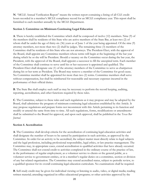**N**. "MCLE Annual Verification Report" means the written report containing a listing of all CLE credit hours recorded in a member's MCLE compliance record for an MCLE compliance year. This report shall be furnished to each member annually by the MCLE Department.

## **Section 3. Committee on Minimum Continuing Legal Education**

**A**. There is hereby established the Committee which shall be composed of twelve (12) members. Nine (9) of the members shall be residents of this State who are active members of the State Bar, at least two (2) of whom shall be under the age of thirty-six (36) years as of June 1 of the year being appointed. Of the nine (9) attorney members, not more than two (2) shall be judges. The remaining three (3) members of the Committee shall be residents of this State who are not attorneys. The President-Elect, with the approval of the Board, shall appoint any Committee members whose terms will begin at the beginning of the bar year during which he or she will be President. Should a vacancy on the Committee occur during the bar year, the President, with the approval of the Board, shall appoint a successor to fill the unexpired term. Each member of the Committee shall continue to serve until his or her successor is appointed and qualified. The President-Elect shall designate one (1) of the attorney members of the Committee to serve as chairperson during his or her term as President. The Board may remove a member of the Committee for good cause. No Committee member shall be appointed for more than two (2) terms. Committee members shall serve without compensation, but shall be reimbursed for reasonable and necessary expenses incurred in the performance of their official duties.

**B**. The State Bar shall employ such staff as may be necessary to perform the record keeping, auditing, reporting, accreditation, and other functions required by these rules.

**C**. The Committee, subject to these rules and such regulations as it may propose and may be adopted by the Board, shall administer the program of minimum continuing legal education established by this Article. It may propose regulations and prepare forms not inconsistent with this Article pertaining to its function and modify or amend the same from time to time. All such regulations, forms, modifications or amendments shall be submitted to the Board for approval, and upon such approval, shall be published in the *Texas Bar Journal*.

### **Section 4. Accreditation**

**A**. The Committee shall develop criteria for the accreditation of continuing legal education activities and shall designate the number of hours to be earned by participation in such activities, as approved by the Committee. In order for an activity to be accredited, the subject matter must directly relate to legal subjects and the legal profession, including professional responsibility, legal ethics, or law practice management. The Committee may, in appropriate cases, extend accreditation to qualified activities that have already occurred. The Committee shall not extend credit to activities completed in the ordinary course of the practice of law, in the performance of regular employment, as a volunteer service to clients or the general public, as a volunteer service to government entities, or in a member's regular duties on a committee, section or division of any bar related organization. The Committee may extend accredited status, subject to periodic review, to a qualified sponsor for its overall continuing legal education curriculum. No examinations shall be required.

**B**. Self-study credit may be given for individual viewing or listening to audio, video, or digital media; reading written material; attending organized in-office educational programs; or other activities approved by the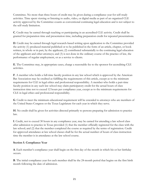Committee. No more than three hours of credit may be given during a compliance year for self-study activities. Time spent viewing or listening to audio, video, or digital media as part of an organized CLE activity approved by the Committee counts as conventional continuing legal education and is not subject to the self-study limitation.

**C**. Credit may be earned through teaching or participating in an accredited CLE activity. Credit shall be granted for preparation time and presentation time, including preparation credit for repeated presentations.

**D**. Credit may be earned through legal research-based writing upon application to the Committee provided the activity (1) produced material published or to be published in the form of an article, chapter, or book written, in whole or in part, by the applicant; (2) contributed substantially to the continuing legal education of the applicant and other attorneys; and (3) is not done in the ordinary course of the practice of law, the performance of regular employment, or as a service to clients.

**E**. The Committee may, in appropriate cases, charge a reasonable fee to the sponsor for accrediting CLE activities.

**F**. A member who holds a full-time faculty position in any law school which is approved by the American Bar Association may be credited as fulfilling the requirements of this article, except as to the minimum requirements for CLE in legal ethics and professional responsibility. A member who holds a part-time faculty position in any such law school may claim participatory credit for the actual hours of class instruction time not to exceed 12 hours per compliance year, except as to the minimum requirements for CLE in legal ethics and professional responsibility.

**G**. Credit to meet the minimum educational requirement will be extended to attorneys who are members of the United States Congress or the Texas Legislature for each year in which they serve.

**H**. No credit shall be given for activities directed primarily to persons preparing for admission to practice law.

**I**. Credit, not to exceed 30 hours in any compliance year, may be earned for attending a law school class after admission to practice in Texas provided (1) that the member officially registered for the class with the law school; and (2) that the member completed the course as required by the terms of registration. Credit for approved attendance at law school classes shall be for the actual number of hours of class instruction time the member is in attendance at the law school course.

## **Section 5. Compliance Year**

**A**. Each member's compliance year shall begin on the first day of the month in which his or her birthday occurs.

**B**. The initial compliance year for each member shall be the 24-month period that begins on the first birth month following the date of admission.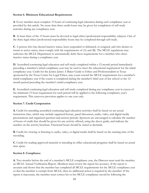## **Section 6. Minimum Educational Requirements**

**A**. Every member must complete 15 hours of continuing legal education during each compliance year as provided by this article. No more than three credit hours may be given for completion of self-study activities during any compliance year.

**B**. At least three of the 15 hours must be devoted to legal ethics/professional responsibility subjects. One of the three legal ethics/professional responsibility hours may be completed through self-study.

**C**. A person who has elected inactive status, been suspended or disbarred, or resigned, and who desires to return to active status, must comply with the requirements of  $(A)$  and  $(B)$ . The MCLE regulations may authorize the MCLE Department to automatically defer these requirements for a member who elects inactive status during a compliance year.

**D**. Accredited continuing legal education and self-study completed within a 12-month period immediately preceding a member's initial compliance year may be used to meet the educational requirement for the initial compliance year. Credit for the Justice James A Baker Guide to Ethics and Professionalism in Texas sponsored by the Texas Center for Legal Ethics, may count toward the MCLE requirements for a member's initial compliance year if the course is completed during the member's third year of law school or the 12 month period preceding the member's initial compliance year.

**E**. Accredited continuing legal education and self-study completed during any compliance year in excess of the minimum 15 hour requirement for such period will be applied to the following compliance year's requirement. This carryover provision applies to one year only.

## **Section 7. Credit Computation**

**A**. Credit for attending accredited continuing legal education activities shall be based on net actual instruction time, which may include organized lecture, panel discussion, audio, video, and digital media presentations and organized question-and-answer periods. Sponsors are encouraged to calculate the number of hours of credit that should be given for any activity offered, using the above guide, and indicate the number on the activity brochure. Fractional hours should be stated as decimals.

**B**. Credit for viewing or listening to audio, video, or digital media shall be based on the running time of the recording.

**C**. Credit for reading approved material or attending in-office educational programs shall be based on actual time spent.

### **Section 8. Compliance**

**A**. Two months before the end of a member's MCLE compliance year, the Director must send the member an MCLE Annual Verification Report. Members must review the report for accuracy. If the report is accurate and shows that the member has completed all MCLE requirements for the MCLE compliance year or that the member is exempt from MCLE, then no additional action is required by the member. If the report is inaccurate, the member must correct his or her MCLE compliance record by following the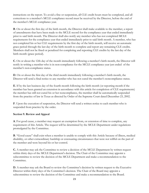instructions on the report. To avoid a fine or suspension, all CLE credit hours must be completed, and all corrections to a member's MCLE compliance record must be received by the Director, before the end of the member's MCLE compliance year.

**B**. On or about the first day of the birth month, the Director shall make available to the member, a report of amendments that have been made to the MCLE record for the compliance year that ended immediately prior to said birth month. The Director shall also notify any member who has not completed MCLE requirements for the compliance year that ended immediately prior to said birth month. A member, who has not completed his or her CLE requirements by the first day of the birth month, will receive an automatic grace period through the last day of the birth month to complete and report any remaining CLE credits. Members shall not be fined or penalized for completing and reporting CLE credits by the last day of the birth month (grace period).

**C**. On or about the 12th day of the month immediately following a member's birth month, the Director will notify in writing a member who is in non-compliance for the MCLE compliance year just ended of the member's non-compliance status.

**D**. On or about the first day of the third month immediately following a member's birth month, the Director will send a final notice to any member who has not cured the member's noncompliance status.

**E**. If by the last business day of the fourth month following the birth month (or reporting month if the member has been granted an extension in accordance with this article for completion of CLE requirements) the member has still not cured his or her noncompliance, the member shall be automatically suspended from the practice of law in Texas as directed by Order of the Supreme Court dated December 23, 2002.

**F**. Upon the execution of suspension, the Director will send a written notice to each member who is suspended from practice by the order.

## **Section 9. Review and Appeal**

**A**. For good cause, a member may request an exemption from, or extension of time to complete, any requirement of this Article. The request will be determined by the MCLE Department under regulations promulgated by the Committee.

**B**. "Good cause" shall exist when a member is unable to comply with this Article because of illness, medical disability, or other extraordinary hardship or extenuating circumstances that were not willful on the part of the member and were beyond his or her control.

**C.** A member may ask the Committee to review a decision of the MCLE Department by written request within thirty days of the MCLE Department's decision. The Chair of the Committee may appoint a subcommittee to review the decision of the MCLE Department and make a recommendation to the Committee.

**D**. A member may ask the Board to review the Committee's decision by written request to the Executive Director within thirty days of the Committee's decision. The Chair of the Board may appoint a subcommittee to review the decision of the Committee and make a recommendation to the Board.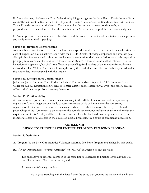**E**. A member may challenge the Board's decision by filing suit against the State Bar in Travis County district court. The suit must be filed within thirty days of the Board's decision, or the Board's decision will be final. Trial will be de novo and to the bench. The member has the burden to prove good cause by a preponderance of the evidence. Either the member or the State Bar may appeal the trial court's judgment.

**F**. Any suspension of a member under this Article shall be vacated during the administrative review process and while any suit filed is pending.

#### **Section 10. Return to Former Status**

Any member whose license to practice law has been suspended under the terms of this Article who after the date of suspension files an activity report with the MCLE Director showing compliance and who has paid all applicable fees associated with non-compliance and suspension, shall be entitled to have such suspension promptly terminated and be returned to former status. Return to former status shall be retroactive to the inception of suspension, but shall not affect any proceeding for discipline of the member for professional misconduct. The MCLE Director shall promptly notify the Clerk that a member formerly suspended under this Article has now complied with this Article.

#### **Section 11. Exemption of Certain Judges**

Judges subject to Supreme Court Order for Judicial Education dated August 21, 1985, Supreme Court Order for Judicial Education for Retired or Former District Judges dated July 2, 1986, and federal judicial officers, shall be exempt from these requirements.

#### **Section 12. Confidentiality**

A member who reports attendance credits individually to the MCLE Director, without the sponsoring organization's knowledge, automatically consents to release of his or her name to the sponsoring organization for the sole purpose of reconciling attendance records. Otherwise, the files, records and proceedings of the Committee, as they relate to the compliance or noncompliance of any member with the requirements of this Article, shall be confidential and shall not be disclosed except upon consent of the member affected or as directed in the course of judicial proceeding by a court of competent jurisdiction.

### **ARTICLE XIII NEW OPPORTUNITIES VOLUNTEER ATTORNEY PRO BONO PROGRAM**

#### **Section 1. Definitions**

**A**. "Program" is the New Opportunities Volunteer Attorney Pro Bono Program established by this article.

**B**. A "New Opportunities Volunteer Attorney" or "NOVA" is a person of any age who:

**1**. is an inactive or emeritus member of the State Bar or is licensed to practice law in another U.S. jurisdiction, even if inactive or retired; and

- **2**. meets the following conditions:
	- is in good standing with the State Bar or the entity that governs the practice of law in the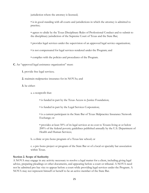jurisdiction where the attorney is licensed;

• is in good standing with all courts and jurisdictions in which the attorney is admitted to practice;

- agrees to abide by the Texas Disciplinary Rules of Professional Conduct and to submit to the disciplinary jurisdiction of the Supreme Court of Texas and the State Bar;
- provides legal services under the supervision of an approved legal service organization;
- is not compensated for legal services rendered under the Program; and
- complies with the policies and procedures of the Program.

**C**. An "approved legal assistance organization" must:

- **1.** provide free legal services;
- **2.** maintain malpractice insurance for its NOVAs; and
- **3.** be either:
	- a. a nonprofit that:
		- is funded in part by the Texas Access to Justice Foundation;
		- is funded in part by the Legal Services Corporation;
		- is a current participant in the State Bar of Texas Malpractice Insurance Network Exchange; or

• provides at least 50% of its legal services at no cost to Texans living at or below 200% of the federal poverty guidelines published annually by the U.S. Department of Health and Human Services;

b. a clinic or pro bono program of a Texas law school; or

c. a pro bono project or program of the State Bar or of a local or specialty bar association within Texas.

### **Section 2. Scope of Authority**

A NOVA may engage in any activity necessary to resolve a legal matter for a client, including giving legal advice, preparing pleadings or other documents, and appearing before a court or tribunal. A NOVA need not be admitted pro hac vice to appear before a court while providing legal services under the Program. A NOVA may not represent himself or herself to be an active member of the State Bar.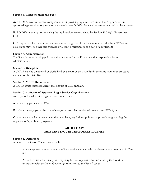## **Section 3. Compensation and Fees**

**A.** A NOVA may not receive compensation for providing legal services under the Program, but an approved legal serviced organization may reimburse a NOVA for actual expenses incurred by the attorney.

**B.** A NOVA is exempt from paying the legal services fee mandated by Section 81.054(j), Government Code.

**C.** An approved legal service organization may charge the client for services provided by a NOVA and collect attorneys' or other fees awarded by a court or tribunal or as a part of a settlement.

### **Section 4. Administration**

The State Bar may develop policies and procedures for the Program and is responsible for its administration.

## **Section 5. Discipline**

A NOVA may be sanctioned or disciplined by a court or the State Bar in the same manner as an active member of the State Bar.

## **Section 6. MCLE Requirement**

A NOVA must complete at least three hours of CLE annually.

## **Section 7. Authority of Approved Legal Service Organizations**

An approved legal service organization is not required to:

**A.** accept any particular NOVA;

**B.** refer any case, a particular type of case, or a particular number of cases to any NOVA; or

**C.** take any action inconsistent with the rules, laws, regulations, policies, or procedures governing the organization's pro bono programs.

## **ARTICLE XIV MILITARY SPOUSE TEMPORARY LICENSE**

### **Section 1. Definitions**

A "temporary licensee" is an attorney who:

• is the spouse of an active-duty military service member who has been ordered stationed in Texas; and

 has been issued a three-year temporary license to practice law in Texas by the Court in accordance with the Rules Governing Admission to the Bar of Texas.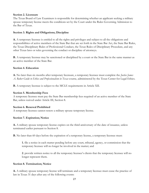### **Section 2. Licensure**

The Texas Board of Law Examiners is responsible for determining whether an applicant seeking a military spouse temporary license meets the conditions set by the Court under the Rules Governing Admission to the Bar of Texas.

#### **Section 3. Rights and Obligations; Discipline**

**A.** A temporary licensee is entitled to all the rights and privileges and subject to all the obligations and responsibilities of active members of the State Bar that are set forth in the State Bar Act, the State Bar Rules, the Texas Disciplinary Rules of Professional Conduct, the Texas Rules of Disciplinary Procedure, and any other Texas laws or rules governing the conduct or discipline of attorneys.

**B.** A temporary licensee may be sanctioned or disciplined by a court or the State Bar in the same manner as an active member of the State Bar.

#### **Section 4. Education**

**A.** No later than six months after temporary licensure, a temporary licensee must complete the *Justice James A. Baker Guide to Ethics and Professionalism in Texas* course, administered by the Texas Center for Legal Ethics.

**B.** A temporary licensee is subject to the MCLE requirements in Article XII.

#### **Section 5. Membership Fees**

A temporary licensee must pay the State Bar membership fees required of an active member of the State Bar, unless waived under Article III, Section 8.

#### **Section 6. Renewal Prohibited**

A temporary licensee cannot renew a military spouse temporary license.

#### **Section 7. Expiration; Notice**

**A.** A military spouse temporary license expires on the third anniversary of the date of issuance, unless terminated earlier pursuant to Section 8.

**B.** No later than 60 days before the expiration of a temporary license, a temporary licensee must:

**1.** file a notice in each matter pending before any court, tribunal, agency, or commission that the temporary licensee will no longer be involved in the matter; and

**2**. provide written notice to all the temporary licensee's clients that the temporary licensee will no longer represent them.

#### **Section 8. Termination; Notice**

**A.** A military spouse temporary license will terminate and a temporary licensee must cease the practice of law in Texas 31 days after any of the following events: